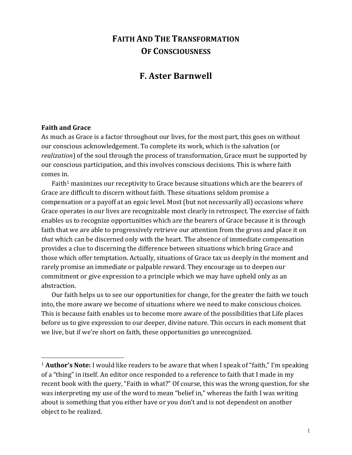# **FAITH AND THE TRANSFORMATION OF CONSCIOUSNESS**

## **F. Aster Barnwell**

#### **Faith and Grace**

1

As much as Grace is a factor throughout our lives, for the most part, this goes on without our conscious acknowledgement. To complete its work, which is the salvation (or *realization*) of the soul through the process of transformation, Grace must be supported by our conscious participation, and this involves conscious decisions. This is where faith comes in.

Faith<sup>1</sup> maximizes our receptivity to Grace because situations which are the bearers of Grace are difficult to discern without faith. These situations seldom promise a compensation or a payoff at an egoic level. Most (but not necessarily all) occasions where Grace operates in our lives are recognizable most clearly in retrospect. The exercise of faith enables us to recognize opportunities which are the bearers of Grace because it is through faith that we are able to progressively retrieve our attention from the gross and place it on *that* which can be discerned only with the heart. The absence of immediate compensation provides a clue to discerning the difference between situations which bring Grace and those which offer temptation. Actually, situations of Grace tax us deeply in the moment and rarely promise an immediate or palpable reward. They encourage us to deepen our commitment or give expression to a principle which we may have upheld only as an abstraction.

Our faith helps us to see our opportunities for change, for the greater the faith we touch into, the more aware we become of situations where we need to make conscious choices. This is because faith enables us to become more aware of the possibilities that Life places before us to give expression to our deeper, divine nature. This occurs in each moment that we live, but if we're short on faith, these opportunities go unrecognized.

<sup>&</sup>lt;sup>1</sup> **Author's Note:** I would like readers to be aware that when I speak of "faith," I'm speaking of a "thing" in itself. An editor once responded to a reference to faith that I made in my recent book with the query, "Faith in what?" Of course, this was the wrong question, for she was interpreting my use of the word to mean "belief in," whereas the faith I was writing about is something that you either have or you don't and is not dependent on another object to be realized.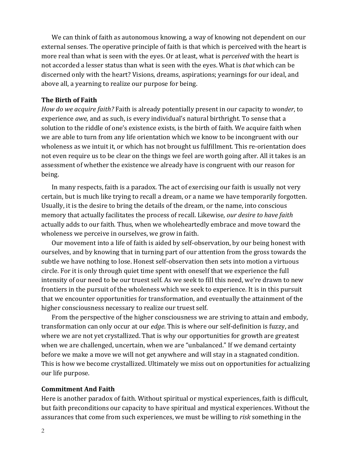We can think of faith as autonomous knowing, a way of knowing not dependent on our external senses. The operative principle of faith is that which is perceived with the heart is more real than what is seen with the eyes. Or at least, what is *perceived* with the heart is not accorded a lesser status than what is seen with the eyes. What is *that* which can be discerned only with the heart? Visions, dreams, aspirations; yearnings for our ideal, and above all, a yearning to realize our purpose for being.

#### **The Birth of Faith**

*How do we acquire faith?* Faith is already potentially present in our capacity to *wonder*, to experience *awe*, and as such, is every individual's natural birthright. To sense that a solution to the riddle of one's existence exists, is the birth of faith. We acquire faith when we are able to turn from any life orientation which we know to be incongruent with our wholeness as we intuit it, or which has not brought us fulfillment. This re-orientation does not even require us to be clear on the things we feel are worth going after. All it takes is an assessment of whether the existence we already have is congruent with our reason for being.#

In many respects, faith is a paradox. The act of exercising our faith is usually not very certain, but is much like trying to recall a dream, or a name we have temporarily forgotten. Usually, it is the desire to bring the details of the dream, or the name, into conscious memory that actually facilitates the process of recall. Likewise, our desire to have faith actually adds to our faith. Thus, when we wholeheartedly embrace and move toward the wholeness we perceive in ourselves, we grow in faith.

Our movement into a life of faith is aided by self-observation, by our being honest with ourselves, and by knowing that in turning part of our attention from the gross towards the subtle we have nothing to lose. Honest self-observation then sets into motion a virtuous circle. For it is only through quiet time spent with oneself that we experience the full intensity of our need to be our truest self. As we seek to fill this need, we're drawn to new frontiers in the pursuit of the wholeness which we seek to experience. It is in this pursuit that we encounter opportunities for transformation, and eventually the attainment of the higher consciousness necessary to realize our truest self.

From the perspective of the higher consciousness we are striving to attain and embody, transformation can only occur at our *edge*. This is where our self-definition is fuzzy, and where we are not yet crystallized. That is why our opportunities for growth are greatest when we are challenged, uncertain, when we are "unbalanced." If we demand certainty before we make a move we will not get anywhere and will stay in a stagnated condition. This is how we become crystallized. Ultimately we miss out on opportunities for actualizing our life purpose.

#### **Commitment And Faith**

Here is another paradox of faith. Without spiritual or mystical experiences, faith is difficult, but faith preconditions our capacity to have spiritual and mystical experiences. Without the assurances that come from such experiences, we must be willing to *risk* something in the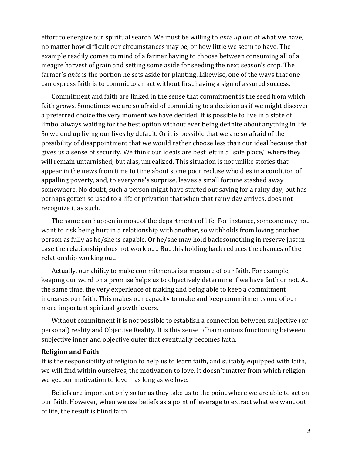effort to energize our spiritual search. We must be willing to *ante up* out of what we have, no matter how difficult our circumstances may be, or how little we seem to have. The example readily comes to mind of a farmer having to choose between consuming all of a meagre harvest of grain and setting some aside for seeding the next season's crop. The farmer's *ante* is the portion he sets aside for planting. Likewise, one of the ways that one can express faith is to commit to an act without first having a sign of assured success.

Commitment and faith are linked in the sense that commitment is the seed from which faith grows. Sometimes we are so afraid of committing to a decision as if we might discover a preferred choice the very moment we have decided. It is possible to live in a state of limbo, always waiting for the best option without ever being definite about anything in life. So we end up living our lives by default. Or it is possible that we are so afraid of the possibility of disappointment that we would rather choose less than our ideal because that gives us a sense of security. We think our ideals are best left in a "safe place," where they will remain untarnished, but alas, unrealized. This situation is not unlike stories that appear in the news from time to time about some poor recluse who dies in a condition of appalling poverty, and, to everyone's surprise, leaves a small fortune stashed away somewhere. No doubt, such a person might have started out saving for a rainy day, but has perhaps gotten so used to a life of privation that when that rainy day arrives, does not recognize it as such.

The same can happen in most of the departments of life. For instance, someone may not want to risk being hurt in a relationship with another, so withholds from loving another person as fully as he/she is capable. Or he/she may hold back something in reserve just in case the relationship does not work out. But this holding back reduces the chances of the relationship working out.

Actually, our ability to make commitments is a measure of our faith. For example, keeping our word on a promise helps us to objectively determine if we have faith or not. At the same time, the very experience of making and being able to keep a commitment increases our faith. This makes our capacity to make and keep commitments one of our more important spiritual growth levers.

Without commitment it is not possible to establish a connection between subjective (or personal) reality and Objective Reality. It is this sense of harmonious functioning between subjective inner and objective outer that eventually becomes faith.

#### **Religion and Faith**

It is the responsibility of religion to help us to learn faith, and suitably equipped with faith, we will find within ourselves, the motivation to love. It doesn't matter from which religion we get our motivation to love—as long as we love.

Beliefs are important only so far as they take us to the point where we are able to act on our faith. However, when we use beliefs as a point of leverage to extract what we want out of life, the result is blind faith.